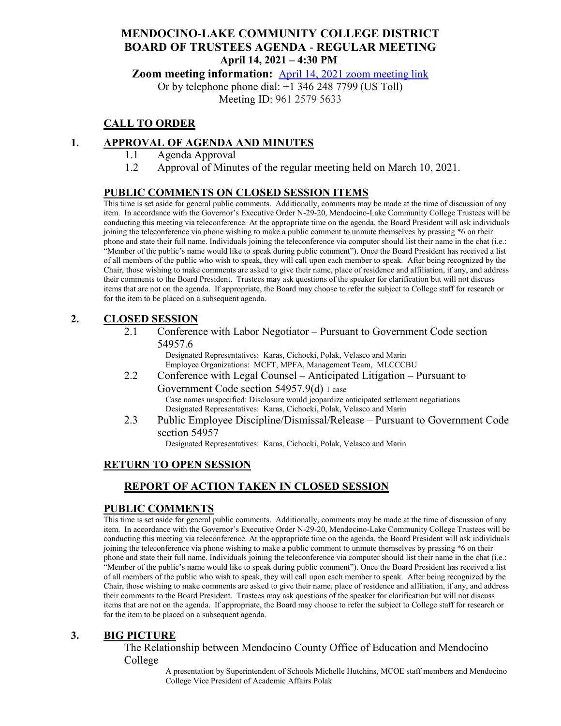## **MENDOCINO-LAKE COMMUNITY COLLEGE DISTRICT BOARD OF TRUSTEES AGENDA** - **REGULAR MEETING April 14, 2021 – 4:30 PM**

**Zoom meeting information:** April 14, 2021 [zoom meeting link](https://cccconfer.zoom.us/s/96125795633)

Or by telephone phone dial: +1 346 248 7799 (US Toll)

Meeting ID: 961 2579 5633

# **CALL TO ORDER**

# **1. APPROVAL OF AGENDA AND MINUTES**

- 1.1 Agenda Approval
- 1.2 Approval of Minutes of the regular meeting held on March 10, 2021.

## **PUBLIC COMMENTS ON CLOSED SESSION ITEMS**

This time is set aside for general public comments. Additionally, comments may be made at the time of discussion of any item. In accordance with the Governor's Executive Order N-29-20, Mendocino-Lake Community College Trustees will be conducting this meeting via teleconference. At the appropriate time on the agenda, the Board President will ask individuals joining the teleconference via phone wishing to make a public comment to unmute themselves by pressing \*6 on their phone and state their full name. Individuals joining the teleconference via computer should list their name in the chat (i.e.: "Member of the public's name would like to speak during public comment"). Once the Board President has received a list of all members of the public who wish to speak, they will call upon each member to speak. After being recognized by the Chair, those wishing to make comments are asked to give their name, place of residence and affiliation, if any, and address their comments to the Board President. Trustees may ask questions of the speaker for clarification but will not discuss items that are not on the agenda. If appropriate, the Board may choose to refer the subject to College staff for research or for the item to be placed on a subsequent agenda.

### **2. CLOSED SESSION**

2.1 Conference with Labor Negotiator – Pursuant to Government Code section 54957.6

> Designated Representatives: Karas, Cichocki, Polak, Velasco and Marin Employee Organizations: MCFT, MPFA, Management Team, MLCCCBU

- 2.2 Conference with Legal Counsel Anticipated Litigation Pursuant to Government Code section 54957.9(d) 1 case Case names unspecified: Disclosure would jeopardize anticipated settlement negotiations Designated Representatives: Karas, Cichocki, Polak, Velasco and Marin
- 2.3 Public Employee Discipline/Dismissal/Release Pursuant to Government Code section 54957

Designated Representatives: Karas, Cichocki, Polak, Velasco and Marin

# **RETURN TO OPEN SESSION**

# **REPORT OF ACTION TAKEN IN CLOSED SESSION**

### **PUBLIC COMMENTS**

This time is set aside for general public comments. Additionally, comments may be made at the time of discussion of any item. In accordance with the Governor's Executive Order N-29-20, Mendocino-Lake Community College Trustees will be conducting this meeting via teleconference. At the appropriate time on the agenda, the Board President will ask individuals joining the teleconference via phone wishing to make a public comment to unmute themselves by pressing \*6 on their phone and state their full name. Individuals joining the teleconference via computer should list their name in the chat (i.e.: "Member of the public's name would like to speak during public comment"). Once the Board President has received a list of all members of the public who wish to speak, they will call upon each member to speak. After being recognized by the Chair, those wishing to make comments are asked to give their name, place of residence and affiliation, if any, and address their comments to the Board President. Trustees may ask questions of the speaker for clarification but will not discuss items that are not on the agenda. If appropriate, the Board may choose to refer the subject to College staff for research or for the item to be placed on a subsequent agenda.

### **3. BIG PICTURE**

The Relationship between Mendocino County Office of Education and Mendocino College

> A presentation by Superintendent of Schools Michelle Hutchins, MCOE staff members and Mendocino College Vice President of Academic Affairs Polak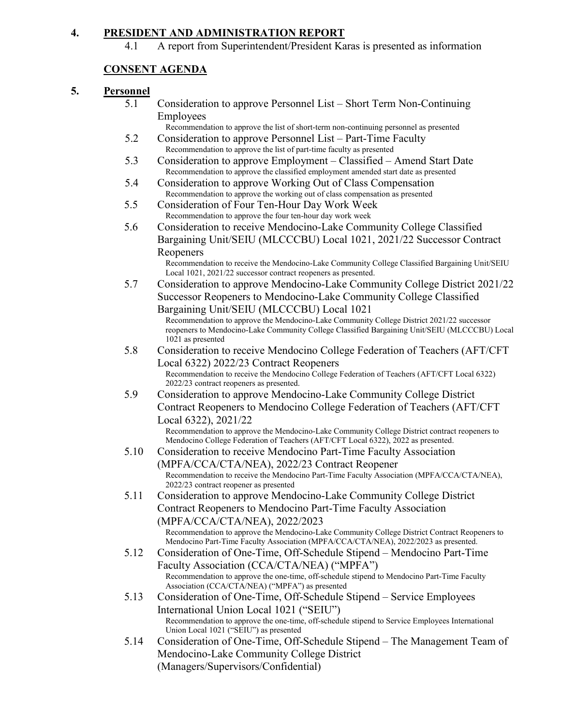## **4. PRESIDENT AND ADMINISTRATION REPORT**

4.1 A report from Superintendent/President Karas is presented as information

# **CONSENT AGENDA**

### **5. Personnel**

- 5.1 Consideration to approve Personnel List Short Term Non-Continuing Employees
	- Recommendation to approve the list of short-term non-continuing personnel as presented
- 5.2 Consideration to approve Personnel List Part-Time Faculty Recommendation to approve the list of part-time faculty as presented
- 5.3 Consideration to approve Employment Classified Amend Start Date Recommendation to approve the classified employment amended start date as presented
- 5.4 Consideration to approve Working Out of Class Compensation Recommendation to approve the working out of class compensation as presented
- 5.5 Consideration of Four Ten-Hour Day Work Week Recommendation to approve the four ten-hour day work week
- 5.6 Consideration to receive Mendocino-Lake Community College Classified Bargaining Unit/SEIU (MLCCCBU) Local 1021, 2021/22 Successor Contract Reopeners Recommendation to receive the Mendocino-Lake Community College Classified Bargaining Unit/SEIU

Local 1021, 2021/22 successor contract reopeners as presented.

5.7 Consideration to approve Mendocino-Lake Community College District 2021/22 Successor Reopeners to Mendocino-Lake Community College Classified Bargaining Unit/SEIU (MLCCCBU) Local 1021

Recommendation to approve the Mendocino-Lake Community College District 2021/22 successor reopeners to Mendocino-Lake Community College Classified Bargaining Unit/SEIU (MLCCCBU) Local 1021 as presented

- 5.8 Consideration to receive Mendocino College Federation of Teachers (AFT/CFT Local 6322) 2022/23 Contract Reopeners Recommendation to receive the Mendocino College Federation of Teachers (AFT/CFT Local 6322) 2022/23 contract reopeners as presented.
- 5.9 Consideration to approve Mendocino-Lake Community College District Contract Reopeners to Mendocino College Federation of Teachers (AFT/CFT Local 6322), 2021/22

Recommendation to approve the Mendocino-Lake Community College District contract reopeners to Mendocino College Federation of Teachers (AFT/CFT Local 6322), 2022 as presented.

- 5.10 Consideration to receive Mendocino Part-Time Faculty Association (MPFA/CCA/CTA/NEA), 2022/23 Contract Reopener Recommendation to receive the Mendocino Part-Time Faculty Association (MPFA/CCA/CTA/NEA), 2022/23 contract reopener as presented
- 5.11 Consideration to approve Mendocino-Lake Community College District Contract Reopeners to Mendocino Part-Time Faculty Association (MPFA/CCA/CTA/NEA), 2022/2023

Recommendation to approve the Mendocino-Lake Community College District Contract Reopeners to Mendocino Part-Time Faculty Association (MPFA/CCA/CTA/NEA), 2022/2023 as presented.

- 5.12 Consideration of One-Time, Off-Schedule Stipend Mendocino Part-Time Faculty Association (CCA/CTA/NEA) ("MPFA") Recommendation to approve the one-time, off-schedule stipend to Mendocino Part-Time Faculty Association (CCA/CTA/NEA) ("MPFA") as presented
- 5.13 Consideration of One-Time, Off-Schedule Stipend Service Employees International Union Local 1021 ("SEIU") Recommendation to approve the one-time, off-schedule stipend to Service Employees International Union Local 1021 ("SEIU") as presented
- 5.14 Consideration of One-Time, Off-Schedule Stipend The Management Team of Mendocino-Lake Community College District (Managers/Supervisors/Confidential)